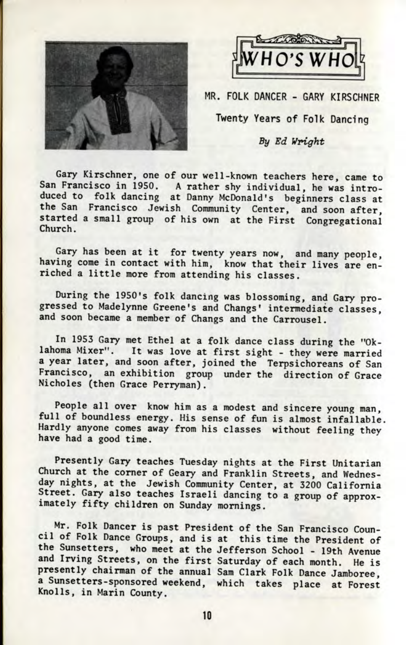



MR. FOLK DANCER - GARY KIRSCHNER

Twenty Years of Folk Dancing

## By Ed Wright

Gary Kirschner, one of our well-known teachers here, came to San Francisco in 1950. A rather shy individual, he was introduced to folk dancing at Danny McDonald's beginners class at the San Francisco Jewish Community Center, and soon after started a small group of his own at the First Congregational Church.

Gary has been at it for twenty years now, and many people, having come in contact with him, know that their lives are enriched a little more from attending his classes.

During the 1950's folk dancing was blossoming, and Gary progressed to Madelynne Greene's and Changs' intermediate classes, and soon became a member of Changs and the Carrousel.

In 1953 Gary met Ethel at a folk dance class during the "Oklahoma Mixer". It was love at first sight - they were married a year later, and soon after, joined the Terpsichoreans of San Francisco, an exhibition group under the direction of Grace Nicholes (then Grace Perryman).

People all over know him as a modest and sincere young man, full of boundless energy. His sense of fun is almost infallable. Hardly anyone comes away from his classes without feeling they have had a good time.

Presently Gary teaches Tuesday nights at the First Unitarian Church at the corner of Geary and Franklin Streets, and Wednesday nights, at the Jewish Community Center, at 3200 California Street. Gary also teaches Israeli dancing to a group of approximately fifty children on Sunday mornings.

Mr. Folk Dancer is past President of the San Francisco Council of Folk Dance Groups, and is at this time the President of the Sunsetters, who meet at the Jefferson School - 19th Avenue and Irving Streets, on the first Saturday of each month. He is presently chairman of the annual Sam Clark Folk Dance Jamboree, a Sunsetters-sponsored weekend, which takes place at Forest Knolls, in Marin County.